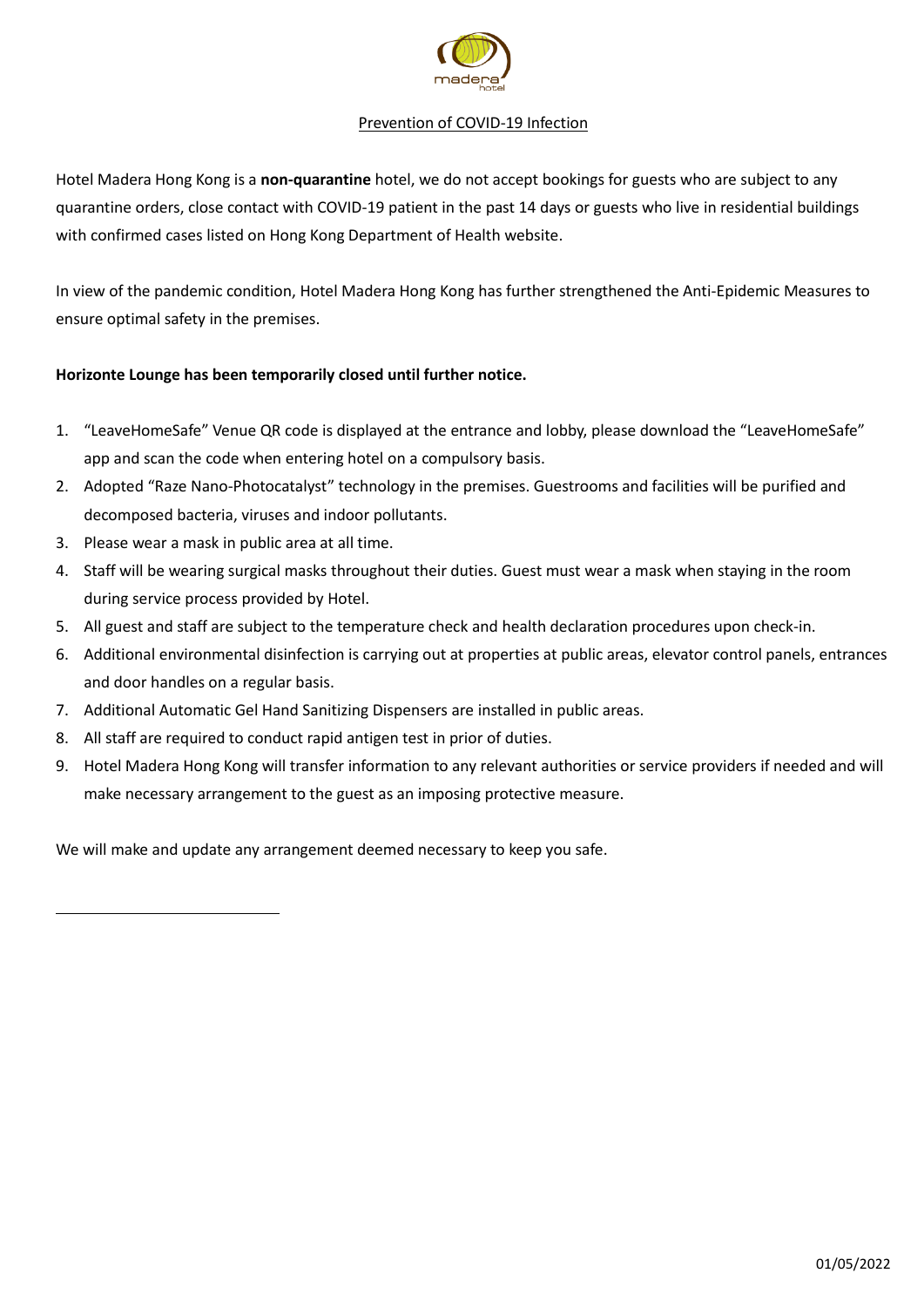

#### Prevention of COVID-19 Infection

Hotel Madera Hong Kong is a **non-quarantine** hotel, we do not accept bookings for guests who are subject to any quarantine orders, close contact with COVID-19 patient in the past 14 days or guests who live in residential buildings with confirmed cases listed on Hong Kong Department of Health website.

In view of the pandemic condition, Hotel Madera Hong Kong has further strengthened the Anti-Epidemic Measures to ensure optimal safety in the premises.

#### **Horizonte Lounge has been temporarily closed until further notice.**

- 1. "LeaveHomeSafe" Venue QR code is displayed at the entrance and lobby, please download the "LeaveHomeSafe" app and scan the code when entering hotel on a compulsory basis.
- 2. Adopted "Raze Nano-Photocatalyst" technology in the premises. Guestrooms and facilities will be purified and decomposed bacteria, viruses and indoor pollutants.
- 3. Please wear a mask in public area at all time.
- 4. Staff will be wearing surgical masks throughout their duties. Guest must wear a mask when staying in the room during service process provided by Hotel.
- 5. All guest and staff are subject to the temperature check and health declaration procedures upon check-in.
- 6. Additional environmental disinfection is carrying out at properties at public areas, elevator control panels, entrances and door handles on a regular basis.
- 7. Additional Automatic Gel Hand Sanitizing Dispensers are installed in public areas.
- 8. All staff are required to conduct rapid antigen test in prior of duties.
- 9. Hotel Madera Hong Kong will transfer information to any relevant authorities or service providers if needed and will make necessary arrangement to the guest as an imposing protective measure.

We will make and update any arrangement deemed necessary to keep you safe.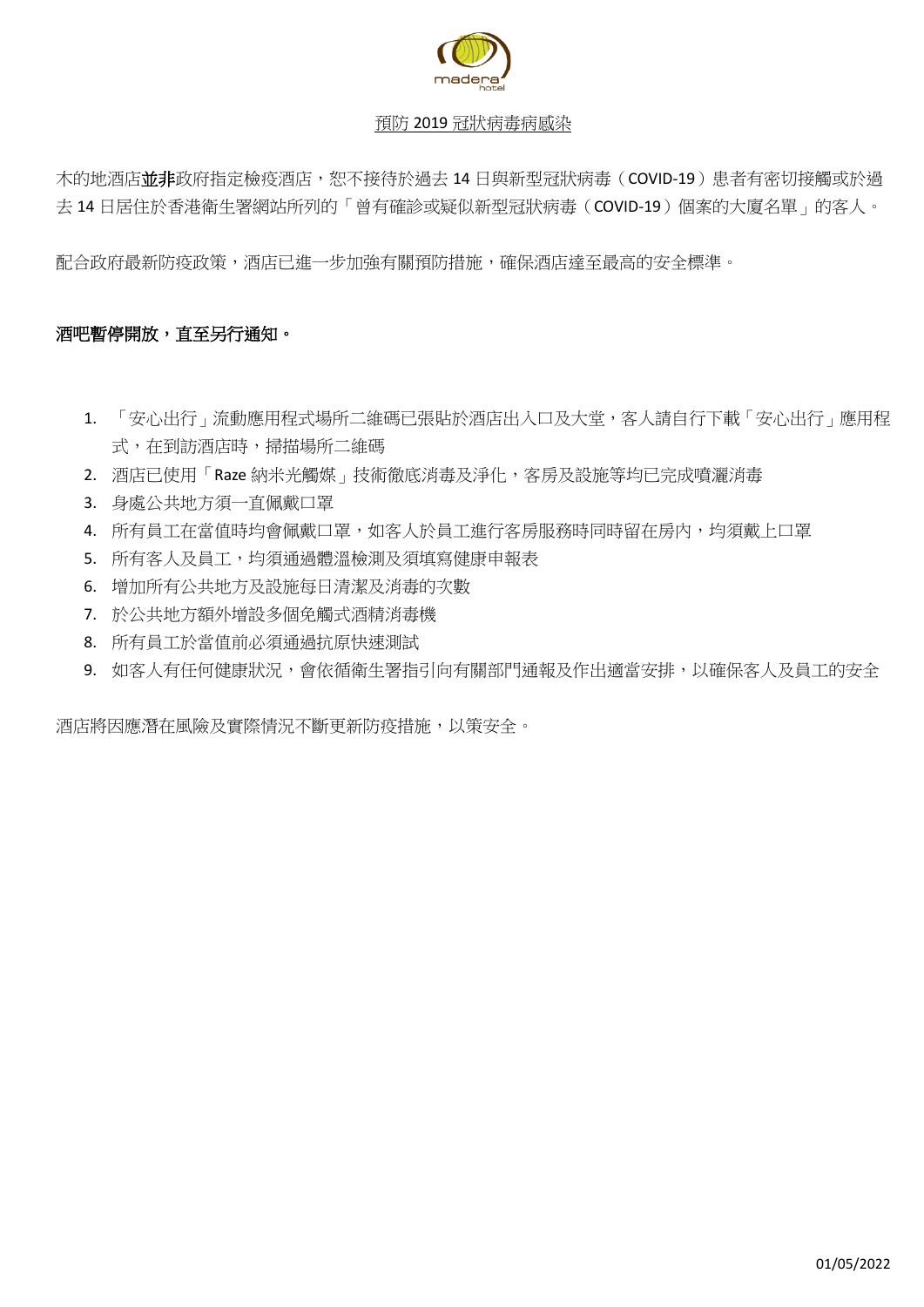

### 預防 2019 冠狀病毒病感染

木的地酒店並非政府指定檢疫酒店,恕不接待於過去 14 日與新型冠狀病毒 (COVID-19)患者有密切接觸或於過 去 14 日居住於香港衛生署網站所列的「曾有確診或疑似新型冠狀病毒(COVID-19)個案的大廈名單」的客人。

配合政府最新防疫政策,酒店已進一步加強有關預防措施,確保酒店達至最高的安全標準。

# 酒吧暫停開放,直至另行通知。

- 1. 「安心出行」流動應用程式場所二維碼已張貼於酒店出入口及大堂,客人請自行下載「安心出行」應用程 式,在到訪酒店時,掃描場所二維碼
- 2. 酒店已使用「Raze 納米光觸媒」技術徹底消毒及淨化,客房及設施等均已完成噴灑消毒
- 3. 身處公共地方須一直佩戴口罩
- 4. 所有員工在當值時均會佩戴口罩,如客人於員工進行客房服務時同時留在房內,均須戴上口罩
- 5. 所有客人及員工,均須通過體溫檢測及須填寫健康申報表
- 6. 增加所有公共地方及設施每日清潔及消毒的次數
- 7. 於公共地方額外增設多個免觸式酒精消毒機
- 8. 所有員工於當值前必須通過抗原快速測試
- 9. 如客人有任何健康狀況,會依循衛生署指引向有關部門通報及作出適當安排,以確保客人及員工的安全

酒店將因應潛在風險及實際情況不斷更新防疫措施,以策安全。